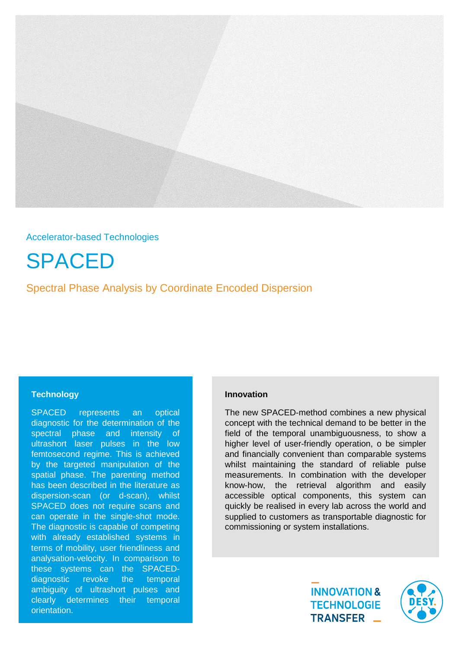

# Accelerator-based Technologies

SPACED

Spectral Phase Analysis by Coordinate Encoded Dispersion

## **Technology**

SPACED represents an optical diagnostic for the determination of the spectral phase and intensity of ultrashort laser pulses in the low femtosecond regime. This is achieved by the targeted manipulation of the spatial phase. The parenting method has been described in the literature as dispersion-scan (or d-scan), whilst SPACED does not require scans and can operate in the single-shot mode. The diagnostic is capable of competing with already established systems in terms of mobility, user friendliness and analysation-velocity. In comparison to these systems can the SPACEDdiagnostic revoke the temporal ambiguity of ultrashort pulses and clearly determines their temporal orientation.

# **Innovation**

The new SPACED-method combines a new physical concept with the technical demand to be better in the field of the temporal unambiguousness, to show a higher level of user-friendly operation, o be simpler and financially convenient than comparable systems whilst maintaining the standard of reliable pulse measurements. In combination with the developer know-how, the retrieval algorithm and easily accessible optical components, this system can quickly be realised in every lab across the world and supplied to customers as transportable diagnostic for commissioning or system installations.

> **INNOVATION & TECHNOLOGIE** TRANSFER \_